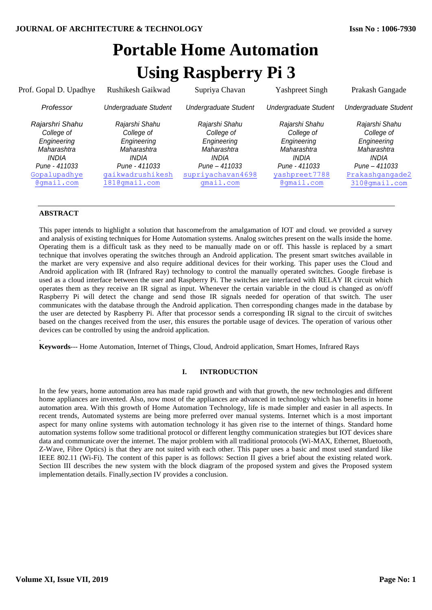# **Portable Home Automation Using Raspberry Pi 3**

| Prof. Gopal D. Upadhye                                                                                                            | Rushikesh Gaikwad                                                                                                                       | Supriya Chavan                                                                                                                | <b>Yashpreet Singh</b>                                                                                              | Prakash Gangade                                                                                                                 |
|-----------------------------------------------------------------------------------------------------------------------------------|-----------------------------------------------------------------------------------------------------------------------------------------|-------------------------------------------------------------------------------------------------------------------------------|---------------------------------------------------------------------------------------------------------------------|---------------------------------------------------------------------------------------------------------------------------------|
| Professor                                                                                                                         | <b>Undergraduate Student</b>                                                                                                            | <b>Undergraduate Student</b>                                                                                                  | <b>Undergraduate Student</b>                                                                                        | <b>Undergraduate Student</b>                                                                                                    |
| Rajarshri Shahu<br>College of<br>Engineering<br>Maharashtra<br><i><b>INDIA</b></i><br>Pune - 411033<br>Gopalupadhye<br>@gmail.com | Rajarshi Shahu<br>College of<br>Engineering<br>Maharashtra<br><i><b>INDIA</b></i><br>Pune - 411033<br>gaikwadrushikesh<br>181@gmail.com | Rajarshi Shahu<br>College of<br>Engineering<br>Maharashtra<br><b>INDIA</b><br>Pune - 411033<br>supriyachavan4698<br>qmail.com | Rajarshi Shahu<br>College of<br>Engineering<br>Maharashtra<br>INDIA<br>Pune - 411033<br>yashpreet7788<br>@gmail.com | Rajarshi Shahu<br>College of<br>Engineering<br>Maharashtra<br><b>INDIA</b><br>Pune - 411033<br>Prakashgangade2<br>310@gmail.com |

# **ABSTRACT**

.

This paper intends to highlight a solution that hascomefrom the amalgamation of IOT and cloud. we provided a survey and analysis of existing techniques for Home Automation systems. Analog switches present on the walls inside the home. Operating them is a difficult task as they need to be manually made on or off. This hassle is replaced by a smart technique that involves operating the switches through an Android application. The present smart switches available in the market are very expensive and also require additional devices for their working. This paper uses the Cloud and Android application with IR (Infrared Ray) technology to control the manually operated switches. Google firebase is used as a cloud interface between the user and Raspberry Pi. The switches are interfaced with RELAY IR circuit which operates them as they receive an IR signal as input. Whenever the certain variable in the cloud is changed as on/off Raspberry Pi will detect the change and send those IR signals needed for operation of that switch. The user communicates with the database through the Android application. Then corresponding changes made in the database by the user are detected by Raspberry Pi. After that processor sends a corresponding IR signal to the circuit of switches based on the changes received from the user, this ensures the portable usage of devices. The operation of various other devices can be controlled by using the android application.

**Keywords**--- Home Automation, Internet of Things, Cloud, Android application, Smart Homes, Infrared Rays

# **I. INTRODUCTION**

In the few years, home automation area has made rapid growth and with that growth, the new technologies and different home appliances are invented. Also, now most of the appliances are advanced in technology which has benefits in home automation area. With this growth of Home Automation Technology, life is made simpler and easier in all aspects. In recent trends, Automated systems are being more preferred over manual systems. Internet which is a most important aspect for many online systems with automation technology it has given rise to the internet of things. Standard home automation systems follow some traditional protocol or different lengthy communication strategies but IOT devices share data and communicate over the internet. The major problem with all traditional protocols (Wi-MAX, Ethernet, Bluetooth, Z-Wave, Fibre Optics) is that they are not suited with each other. This paper uses a basic and most used standard like IEEE 802.11 (Wi-Fi). The content of this paper is as follows: Section II gives a brief about the existing related work. Section III describes the new system with the block diagram of the proposed system and gives the Proposed system implementation details. Finally,section IV provides a conclusion.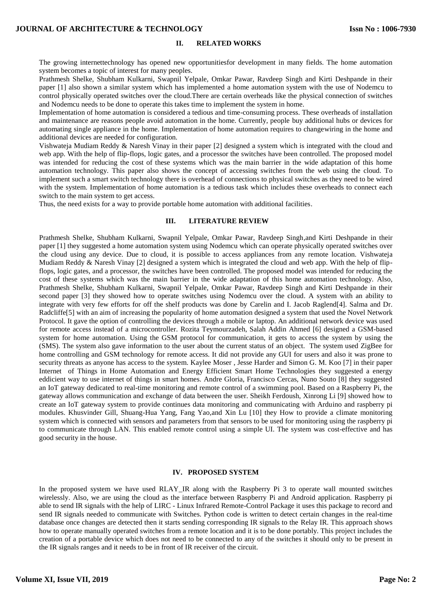#### **II. RELATED WORKS**

The growing internettechnology has opened new opportunitiesfor development in many fields. The home automation system becomes a topic of interest for many peoples.

Prathmesh Shelke, Shubham Kulkarni, Swapnil Yelpale, Omkar Pawar, Ravdeep Singh and Kirti Deshpande in their paper [1] also shown a similar system which has implemented a home automation system with the use of Nodemcu to control physically operated switches over the cloud.There are certain overheads like the physical connection of switches and Nodemcu needs to be done to operate this takes time to implement the system in home.

Implementation of home automation is considered a tedious and time-consuming process. These overheads of installation and maintenance are reasons people avoid automation in the home. Currently, people buy additional hubs or devices for automating single appliance in the home. Implementation of home automation requires to changewiring in the home and additional devices are needed for configuration.

Vishwateja Mudiam Reddy & Naresh Vinay in their paper [2] designed a system which is integrated with the cloud and web app. With the help of flip-flops, logic gates, and a processor the switches have been controlled. The proposed model was intended for reducing the cost of these systems which was the main barrier in the wide adaptation of this home automation technology. This paper also shows the concept of accessing switches from the web using the cloud. To implement such a smart switch technology there is overhead of connections to physical switches as they need to be wired with the system. Implementation of home automation is a tedious task which includes these overheads to connect each switch to the main system to get access.

Thus, the need exists for a way to provide portable home automation with additional facilities.

#### **III. LITERATURE REVIEW**

Prathmesh Shelke, Shubham Kulkarni, Swapnil Yelpale, Omkar Pawar, Ravdeep Singh,and Kirti Deshpande in their paper [1] they suggested a home automation system using Nodemcu which can operate physically operated switches over the cloud using any device. Due to cloud, it is possible to access appliances from any remote location. Vishwateja Mudiam Reddy & Naresh Vinay [2] designed a system which is integrated the cloud and web app. With the help of flipflops, logic gates, and a processor, the switches have been controlled. The proposed model was intended for reducing the cost of these systems which was the main barrier in the wide adaptation of this home automation technology. Also, Prathmesh Shelke, Shubham Kulkarni, Swapnil Yelpale, Omkar Pawar, Ravdeep Singh and Kirti Deshpande in their second paper [3] they showed how to operate switches using Nodemcu over the cloud. A system with an ability to integrate with very few efforts for off the shelf products was done by Carelin and I. Jacob Raglend[4]. Salma and Dr. Radcliffe[5] with an aim of increasing the popularity of home automation designed a system that used the Novel Network Protocol. It gave the option of controlling the devices through a mobile or laptop. An additional network device was used for remote access instead of a microcontroller. Rozita Teymourzadeh, Salah Addin Ahmed [6] designed a GSM-based system for home automation. Using the GSM protocol for communication, it gets to access the system by using the (SMS). The system also gave information to the user about the current status of an object. The system used ZigBee for home controlling and GSM technology for remote access. It did not provide any GUI for users and also it was prone to security threats as anyone has access to the system. Kaylee Moser , Jesse Harder and Simon G. M. Koo [7] in their paper Internet of Things in Home Automation and Energy Efficient Smart Home Technologies they suggested a energy eddicient way to use internet of things in smart homes. Andre Gloria, Francisco Cercas, Nuno Souto [8] they suggested an IoT gateway dedicated to real-time monitoring and remote control of a swimming pool. Based on a Raspberry Pi, the gateway allows communication and exchange of data between the user. Sheikh Ferdoush, Xinrong Li [9] showed how to create an IoT gateway system to provide continues data monitoring and communicating with Arduino and raspberry pi modules. Khusvinder Gill, Shuang-Hua Yang, Fang Yao,and Xin Lu [10] they How to provide a climate monitoring system which is connected with sensors and parameters from that sensors to be used for monitoring using the raspberry pi to communicate through LAN. This enabled remote control using a simple UI. The system was cost-effective and has good security in the house.

# **IV. PROPOSED SYSTEM**

In the proposed system we have used RLAY\_IR along with the Raspberry Pi 3 to operate wall mounted switches wirelessly. Also, we are using the cloud as the interface between Raspberry Pi and Android application. Raspberry pi able to send IR signals with the help of LIRC - Linux Infrared Remote-Control Package it uses this package to record and send IR signals needed to communicate with Switches. Python code is written to detect certain changes in the real-time database once changes are detected then it starts sending corresponding IR signals to the Relay IR. This approach shows how to operate manually operated switches from a remote location and it is to be done portably. This project includes the creation of a portable device which does not need to be connected to any of the switches it should only to be present in the IR signals ranges and it needs to be in front of IR receiver of the circuit.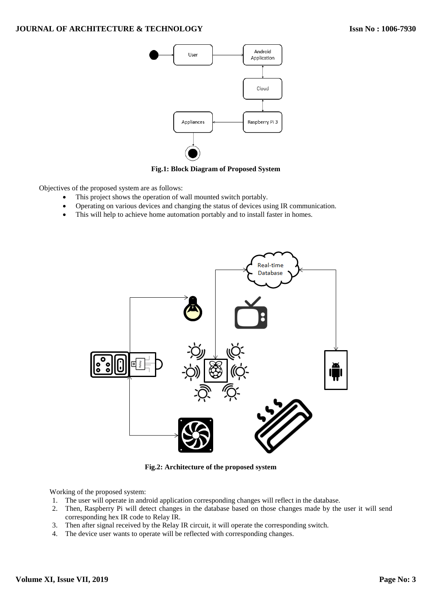

**Fig.1: Block Diagram of Proposed System**

Objectives of the proposed system are as follows:

- This project shows the operation of wall mounted switch portably.
- Operating on various devices and changing the status of devices using IR communication.
- This will help to achieve home automation portably and to install faster in homes.



**Fig.2: Architecture of the proposed system**

Working of the proposed system:

- 1. The user will operate in android application corresponding changes will reflect in the database.
- 2. Then, Raspberry Pi will detect changes in the database based on those changes made by the user it will send corresponding hex IR code to Relay IR.
- 3. Then after signal received by the Relay IR circuit, it will operate the corresponding switch.
- 4. The device user wants to operate will be reflected with corresponding changes.